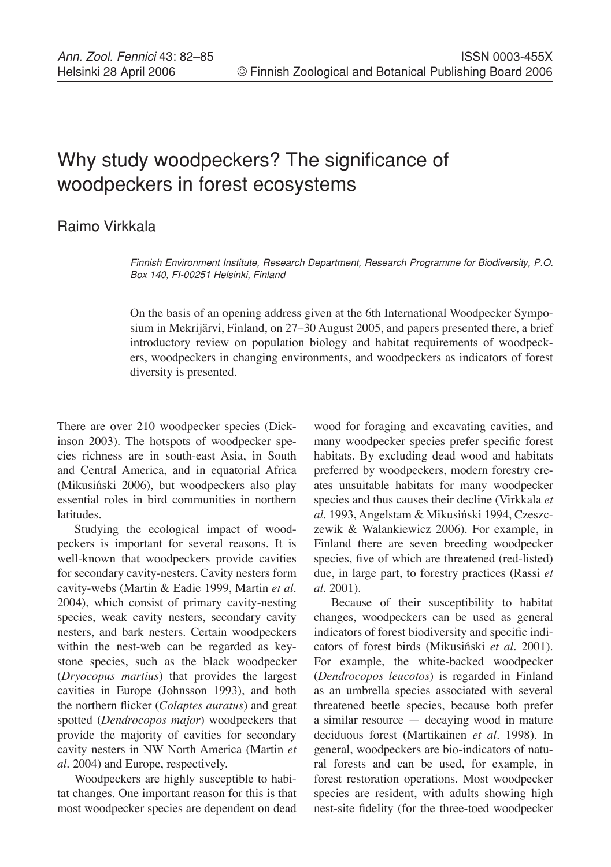## Why study woodpeckers? The significance of woodpeckers in forest ecosystems

## Raimo Virkkala

Finnish Environment Institute, Research Department, Research Programme for Biodiversity, P.O. Box 140, FI-00251 Helsinki, Finland

On the basis of an opening address given at the 6th International Woodpecker Symposium in Mekrijärvi, Finland, on 27–30 August 2005, and papers presented there, a brief introductory review on population biology and habitat requirements of woodpeckers, woodpeckers in changing environments, and woodpeckers as indicators of forest diversity is presented.

There are over 210 woodpecker species (Dickinson 2003). The hotspots of woodpecker species richness are in south-east Asia, in South and Central America, and in equatorial Africa (Mikusiński 2006), but woodpeckers also play essential roles in bird communities in northern latitudes.

Studying the ecological impact of woodpeckers is important for several reasons. It is well-known that woodpeckers provide cavities for secondary cavity-nesters. Cavity nesters form cavity-webs (Martin & Eadie 1999, Martin *et al*. 2004), which consist of primary cavity-nesting species, weak cavity nesters, secondary cavity nesters, and bark nesters. Certain woodpeckers within the nest-web can be regarded as keystone species, such as the black woodpecker (*Dryocopus martius*) that provides the largest cavities in Europe (Johnsson 1993), and both the northern flicker (*Colaptes auratus*) and great spotted (*Dendrocopos major*) woodpeckers that provide the majority of cavities for secondary cavity nesters in NW North America (Martin *et al.* 2004) and Europe, respectively.

Woodpeckers are highly susceptible to habitat changes. One important reason for this is that most woodpecker species are dependent on dead

wood for foraging and excavating cavities, and many woodpecker species prefer specific forest habitats. By excluding dead wood and habitats preferred by woodpeckers, modern forestry creates unsuitable habitats for many woodpecker species and thus causes their decline (Virkkala *et al.* 1993, Angelstam & Mikusiński 1994, Czeszczewik & Walankiewicz 2006). For example, in Finland there are seven breeding woodpecker species, five of which are threatened (red-listed) due, in large part, to forestry practices (Rassi *et al.* 2001).

Because of their susceptibility to habitat changes, woodpeckers can be used as general indicators of forest biodiversity and specific indicators of forest birds (Mikusiński *et al.* 2001). For example, the white-backed woodpecker (*Dendrocopos leucotos*) is regarded in Finland as an umbrella species associated with several threatened beetle species, because both prefer a similar resource — decaying wood in mature deciduous forest (Martikainen *et al.* 1998). In general, woodpeckers are bio-indicators of natural forests and can be used, for example, in forest restoration operations. Most woodpecker species are resident, with adults showing high nest-site fidelity (for the three-toed woodpecker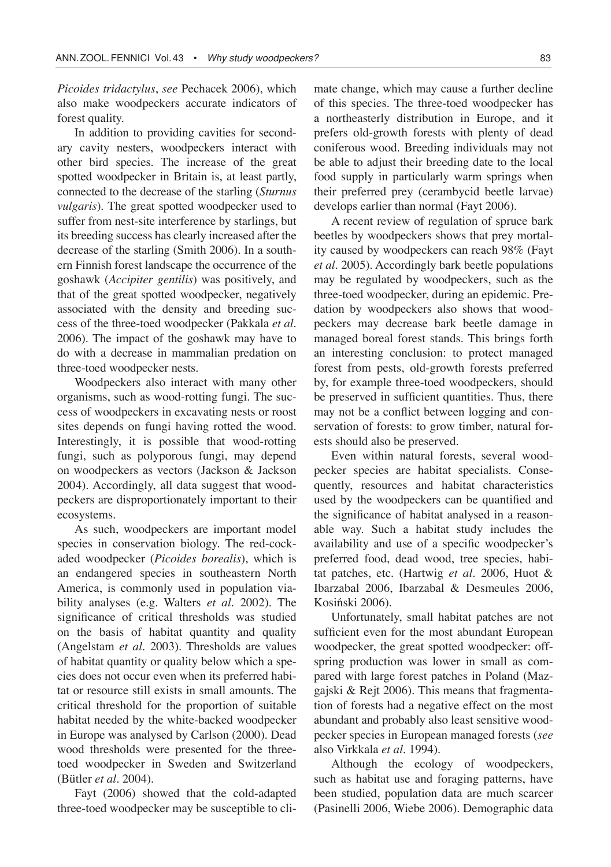*Picoides tridactylus*, *see* Pechacek 2006), which also make woodpeckers accurate indicators of forest quality.

In addition to providing cavities for secondary cavity nesters, woodpeckers interact with other bird species. The increase of the great spotted woodpecker in Britain is, at least partly, connected to the decrease of the starling (*Sturnus vulgaris*). The great spotted woodpecker used to suffer from nest-site interference by starlings, but its breeding success has clearly increased after the decrease of the starling (Smith 2006). In a southern Finnish forest landscape the occurrence of the goshawk (*Accipiter gentilis*) was positively, and that of the great spotted woodpecker, negatively associated with the density and breeding success of the three-toed woodpecker (Pakkala *et al.* 2006). The impact of the goshawk may have to do with a decrease in mammalian predation on three-toed woodpecker nests.

Woodpeckers also interact with many other organisms, such as wood-rotting fungi. The success of woodpeckers in excavating nests or roost sites depends on fungi having rotted the wood. Interestingly, it is possible that wood-rotting fungi, such as polyporous fungi, may depend on woodpeckers as vectors (Jackson & Jackson 2004). Accordingly, all data suggest that woodpeckers are disproportionately important to their ecosystems.

As such, woodpeckers are important model species in conservation biology. The red-cockaded woodpecker (*Picoides borealis*), which is an endangered species in southeastern North America, is commonly used in population viability analyses (e.g. Walters *et al.* 2002). The significance of critical thresholds was studied on the basis of habitat quantity and quality (Angelstam *et al.* 2003). Thresholds are values of habitat quantity or quality below which a species does not occur even when its preferred habitat or resource still exists in small amounts. The critical threshold for the proportion of suitable habitat needed by the white-backed woodpecker in Europe was analysed by Carlson (2000). Dead wood thresholds were presented for the threetoed woodpecker in Sweden and Switzerland (Bütler *et al.* 2004).

Fayt (2006) showed that the cold-adapted three-toed woodpecker may be susceptible to climate change, which may cause a further decline of this species. The three-toed woodpecker has a northeasterly distribution in Europe, and it prefers old-growth forests with plenty of dead coniferous wood. Breeding individuals may not be able to adjust their breeding date to the local food supply in particularly warm springs when their preferred prey (cerambycid beetle larvae) develops earlier than normal (Fayt 2006).

A recent review of regulation of spruce bark beetles by woodpeckers shows that prey mortality caused by woodpeckers can reach 98% (Fayt *et al.* 2005). Accordingly bark beetle populations may be regulated by woodpeckers, such as the three-toed woodpecker, during an epidemic. Predation by woodpeckers also shows that woodpeckers may decrease bark beetle damage in managed boreal forest stands. This brings forth an interesting conclusion: to protect managed forest from pests, old-growth forests preferred by, for example three-toed woodpeckers, should be preserved in sufficient quantities. Thus, there may not be a conflict between logging and conservation of forests: to grow timber, natural forests should also be preserved.

Even within natural forests, several woodpecker species are habitat specialists. Consequently, resources and habitat characteristics used by the woodpeckers can be quantified and the significance of habitat analysed in a reasonable way. Such a habitat study includes the availability and use of a specific woodpecker's preferred food, dead wood, tree species, habitat patches, etc. (Hartwig *et al.* 2006, Huot & Ibarzabal 2006, Ibarzabal & Desmeules 2006, Kosiński 2006).

Unfortunately, small habitat patches are not sufficient even for the most abundant European woodpecker, the great spotted woodpecker: offspring production was lower in small as compared with large forest patches in Poland (Mazgajski & Rejt 2006). This means that fragmentation of forests had a negative effect on the most abundant and probably also least sensitive woodpecker species in European managed forests (*see* also Virkkala *et al.* 1994).

Although the ecology of woodpeckers, such as habitat use and foraging patterns, have been studied, population data are much scarcer (Pasinelli 2006, Wiebe 2006). Demographic data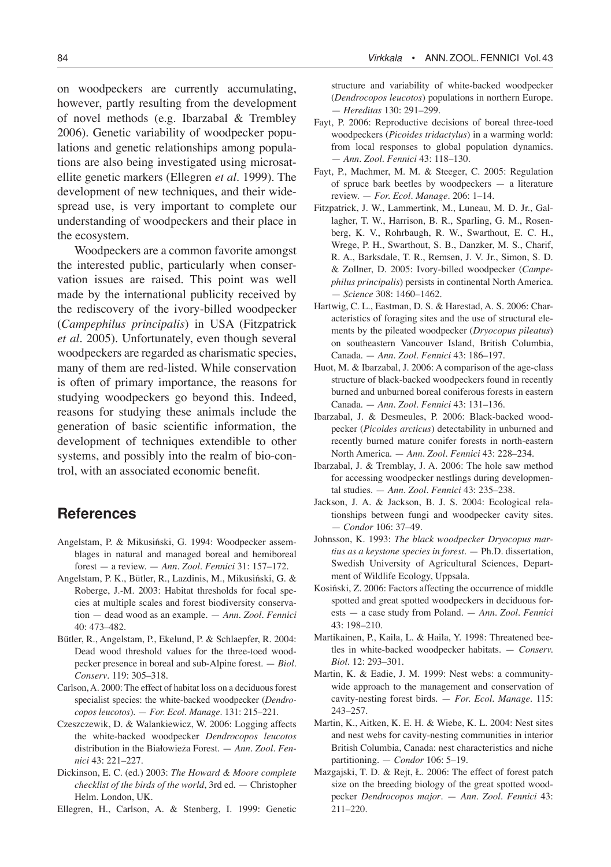on woodpeckers are currently accumulating, however, partly resulting from the development of novel methods (e.g. Ibarzabal & Trembley 2006). Genetic variability of woodpecker populations and genetic relationships among populations are also being investigated using microsatellite genetic markers (Ellegren *et al.* 1999). The development of new techniques, and their widespread use, is very important to complete our understanding of woodpeckers and their place in the ecosystem.

Woodpeckers are a common favorite amongst the interested public, particularly when conservation issues are raised. This point was well made by the international publicity received by the rediscovery of the ivory-billed woodpecker (*Campephilus principalis*) in USA (Fitzpatrick *et al.* 2005). Unfortunately, even though several woodpeckers are regarded as charismatic species, many of them are red-listed. While conservation is often of primary importance, the reasons for studying woodpeckers go beyond this. Indeed, reasons for studying these animals include the generation of basic scientific information, the development of techniques extendible to other systems, and possibly into the realm of bio-control, with an associated economic benefit.

## **References**

- Angelstam, P. & Mikusiński, G. 1994: Woodpecker assemblages in natural and managed boreal and hemiboreal forest — a review. — *Ann. Zool. Fennici* 31: 157–172.
- Angelstam, P. K., Bütler, R., Lazdinis, M., Mikusiński, G. & Roberge, J.-M. 2003: Habitat thresholds for focal species at multiple scales and forest biodiversity conservation — dead wood as an example. — *Ann. Zool. Fennici* 40: 473–482.
- Bütler, R., Angelstam, P., Ekelund, P. & Schlaepfer, R. 2004: Dead wood threshold values for the three-toed woodpecker presence in boreal and sub-Alpine forest. — *Biol. Conserv*. 119: 305–318.
- Carlson, A. 2000: The effect of habitat loss on a deciduous forest specialist species: the white-backed woodpecker (*Dendrocopos leucotos*). — *For. Ecol. Manage*. 131: 215–221.
- Czeszczewik, D. & Walankiewicz, W. 2006: Logging affects the white-backed woodpecker *Dendrocopos leucotos* distribution in the Białowieża Forest. — *Ann. Zool. Fennici* 43: 221–227.
- Dickinson, E. C. (ed.) 2003: *The Howard & Moore complete checklist of the birds of the world*, 3rd ed. — Christopher Helm. London, UK.

Ellegren, H., Carlson, A. & Stenberg, I. 1999: Genetic

structure and variability of white-backed woodpecker (*Dendrocopos leucotos*) populations in northern Europe. — *Hereditas* 130: 291–299.

- Fayt, P. 2006: Reproductive decisions of boreal three-toed woodpeckers (*Picoides tridactylus*) in a warming world: from local responses to global population dynamics. — *Ann. Zool. Fennici* 43: 118–130.
- Fayt, P., Machmer, M. M. & Steeger, C. 2005: Regulation of spruce bark beetles by woodpeckers — a literature review. — *For. Ecol. Manage*. 206: 1–14.
- Fitzpatrick, J. W., Lammertink, M., Luneau, M. D. Jr., Gallagher, T. W., Harrison, B. R., Sparling, G. M., Rosenberg, K. V., Rohrbaugh, R. W., Swarthout, E. C. H., Wrege, P. H., Swarthout, S. B., Danzker, M. S., Charif, R. A., Barksdale, T. R., Remsen, J. V. Jr., Simon, S. D. & Zollner, D. 2005: Ivory-billed woodpecker (*Campephilus principalis*) persists in continental North America. — *Science* 308: 1460–1462.
- Hartwig, C. L., Eastman, D. S. & Harestad, A. S. 2006: Characteristics of foraging sites and the use of structural elements by the pileated woodpecker (*Dryocopus pileatus*) on southeastern Vancouver Island, British Columbia, Canada. — *Ann. Zool. Fennici* 43: 186–197.
- Huot, M. & Ibarzabal, J. 2006: A comparison of the age-class structure of black-backed woodpeckers found in recently burned and unburned boreal coniferous forests in eastern Canada. — *Ann. Zool. Fennici* 43: 131–136.
- Ibarzabal, J. & Desmeules, P. 2006: Black-backed woodpecker (*Picoides arcticus*) detectability in unburned and recently burned mature conifer forests in north-eastern North America. — *Ann. Zool. Fennici* 43: 228–234.
- Ibarzabal, J. & Tremblay, J. A. 2006: The hole saw method for accessing woodpecker nestlings during developmental studies. — *Ann. Zool. Fennici* 43: 235–238.
- Jackson, J. A. & Jackson, B. J. S. 2004: Ecological relationships between fungi and woodpecker cavity sites. — *Condor* 106: 37–49.
- Johnsson, K. 1993: *The black woodpecker Dryocopus martius as a keystone species in forest*. — Ph.D. dissertation, Swedish University of Agricultural Sciences, Department of Wildlife Ecology, Uppsala.
- Kosiński, Z. 2006: Factors affecting the occurrence of middle spotted and great spotted woodpeckers in deciduous forests — a case study from Poland. — *Ann. Zool. Fennici* 43: 198–210.
- Martikainen, P., Kaila, L. & Haila, Y. 1998: Threatened beetles in white-backed woodpecker habitats. — *Conserv. Biol*. 12: 293–301.
- Martin, K. & Eadie, J. M. 1999: Nest webs: a communitywide approach to the management and conservation of cavity-nesting forest birds. — *For. Ecol. Manage*. 115: 243–257.
- Martin, K., Aitken, K. E. H. & Wiebe, K. L. 2004: Nest sites and nest webs for cavity-nesting communities in interior British Columbia, Canada: nest characteristics and niche partitioning. — *Condor* 106: 5–19.
- Mazgajski, T. D. & Rejt, Ł. 2006: The effect of forest patch size on the breeding biology of the great spotted woodpecker *Dendrocopos major*. — *Ann. Zool. Fennici* 43: 211–220.